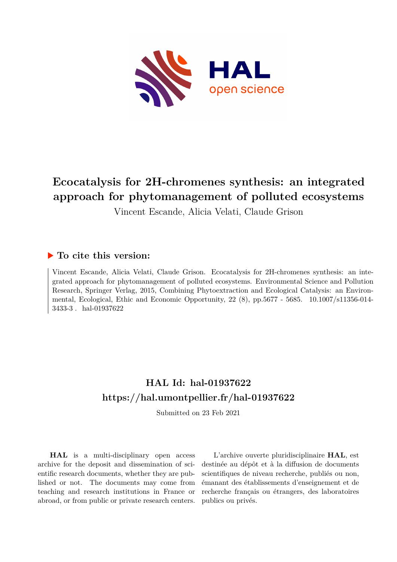

# **Ecocatalysis for 2H-chromenes synthesis: an integrated approach for phytomanagement of polluted ecosystems**

Vincent Escande, Alicia Velati, Claude Grison

# **To cite this version:**

Vincent Escande, Alicia Velati, Claude Grison. Ecocatalysis for 2H-chromenes synthesis: an integrated approach for phytomanagement of polluted ecosystems. Environmental Science and Pollution Research, Springer Verlag, 2015, Combining Phytoextraction and Ecological Catalysis: an Environmental, Ecological, Ethic and Economic Opportunity, 22 (8), pp.5677 - 5685. 10.1007/s11356-014-3433-3 . hal-01937622

# **HAL Id: hal-01937622 <https://hal.umontpellier.fr/hal-01937622>**

Submitted on 23 Feb 2021

**HAL** is a multi-disciplinary open access archive for the deposit and dissemination of scientific research documents, whether they are published or not. The documents may come from teaching and research institutions in France or abroad, or from public or private research centers.

L'archive ouverte pluridisciplinaire **HAL**, est destinée au dépôt et à la diffusion de documents scientifiques de niveau recherche, publiés ou non, émanant des établissements d'enseignement et de recherche français ou étrangers, des laboratoires publics ou privés.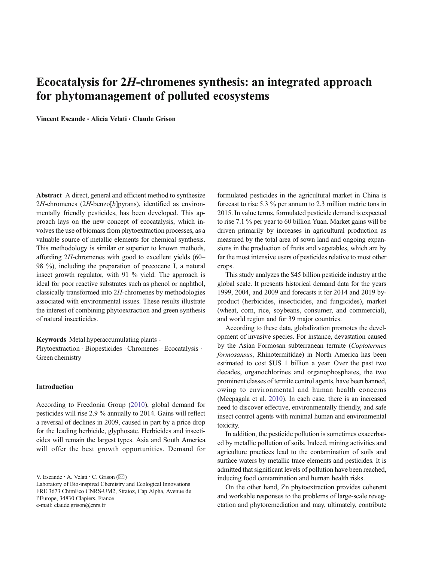# Ecocatalysis for 2H-chromenes synthesis: an integrated approach for phytomanagement of polluted ecosystems

Vincent Escande • Alicia Velati • Claude Grison

Abstract A direct, general and efficient method to synthesize  $2H$ -chromenes  $(2H$ -benzo[b]pyrans), identified as environmentally friendly pesticides, has been developed. This approach lays on the new concept of ecocatalysis, which involves the use of biomass from phytoextraction processes, as a valuable source of metallic elements for chemical synthesis. This methodology is similar or superior to known methods, affording 2H-chromenes with good to excellent yields (60– 98 %), including the preparation of precocene I, a natural insect growth regulator, with 91 % yield. The approach is ideal for poor reactive substrates such as phenol or naphthol, classically transformed into 2H-chromenes by methodologies associated with environmental issues. These results illustrate the interest of combining phytoextraction and green synthesis of natural insecticides.

Keywords Metal hyperaccumulating plants .

Phytoextraction . Biopesticides . Chromenes . Ecocatalysis . Green chemistry

#### Introduction

According to Freedonia Group (2010), global demand for pesticides will rise 2.9 % annually to 2014. Gains will reflect a reversal of declines in 2009, caused in part by a price drop for the leading herbicide, glyphosate. Herbicides and insecticides will remain the largest types. Asia and South America will offer the best growth opportunities. Demand for

V. Escande · A. Velati · C. Grison  $(\boxtimes)$ 

formulated pesticides in the agricultural market in China is forecast to rise 5.3 % per annum to 2.3 million metric tons in 2015. In value terms, formulated pesticide demand is expected to rise 7.1 % per year to 60 billion Yuan. Market gains will be driven primarily by increases in agricultural production as measured by the total area of sown land and ongoing expansions in the production of fruits and vegetables, which are by far the most intensive users of pesticides relative to most other crops.

This study analyzes the \$45 billion pesticide industry at the global scale. It presents historical demand data for the years 1999, 2004, and 2009 and forecasts it for 2014 and 2019 byproduct (herbicides, insecticides, and fungicides), market (wheat, corn, rice, soybeans, consumer, and commercial), and world region and for 39 major countries.

According to these data, globalization promotes the development of invasive species. For instance, devastation caused by the Asian Formosan subterranean termite (Coptotermes formosansus, Rhinotermitidae) in North America has been estimated to cost \$US 1 billion a year. Over the past two decades, organochlorines and organophosphates, the two prominent classes of termite control agents, have been banned, owing to environmental and human health concerns (Meepagala et al. 2010). In each case, there is an increased need to discover effective, environmentally friendly, and safe insect control agents with minimal human and environmental toxicity.

In addition, the pesticide pollution is sometimes exacerbated by metallic pollution of soils. Indeed, mining activities and agriculture practices lead to the contamination of soils and surface waters by metallic trace elements and pesticides. It is admitted that significant levels of pollution have been reached, inducing food contamination and human health risks.

On the other hand, Zn phytoextraction provides coherent and workable responses to the problems of large-scale revegetation and phytoremediation and may, ultimately, contribute

Laboratory of Bio-inspired Chemistry and Ecological Innovations FRE 3673 ChimEco CNRS-UM2, Stratoz, Cap Alpha, Avenue de l'Europe, 34830 Clapiers, France e-mail: claude.grison@cnrs.fr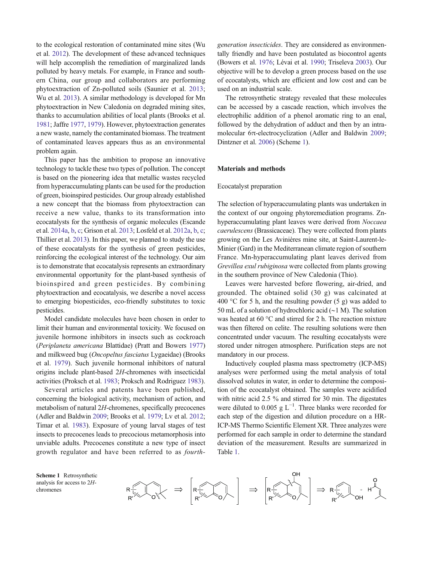to the ecological restoration of contaminated mine sites (Wu et al. 2012). The development of these advanced techniques will help accomplish the remediation of marginalized lands polluted by heavy metals. For example, in France and southern China, our group and collaborators are performing phytoextraction of Zn-polluted soils (Saunier et al. 2013; Wu et al. 2013). A similar methodology is developed for Mn phytoextraction in New Caledonia on degraded mining sites, thanks to accumulation abilities of local plants (Brooks et al. 1981; Jaffre 1977, 1979). However, phytoextraction generates a new waste, namely the contaminated biomass. The treatment of contaminated leaves appears thus as an environmental problem again.

This paper has the ambition to propose an innovative technology to tackle these two types of pollution. The concept is based on the pioneering idea that metallic wastes recycled from hyperaccumulating plants can be used for the production of green, bioinspired pesticides. Our group already established a new concept that the biomass from phytoextraction can receive a new value, thanks to its transformation into ecocatalysts for the synthesis of organic molecules (Escande et al. 2014a, b, c; Grison et al. 2013; Losfeld et al. 2012a, b, c; Thillier et al. 2013). In this paper, we planned to study the use of these ecocatalysts for the synthesis of green pesticides, reinforcing the ecological interest of the technology. Our aim is to demonstrate that ecocatalysis represents an extraordinary environmental opportunity for the plant-based synthesis of bioinspired and green pesticides. By combining phytoextraction and ecocatalysis, we describe a novel access to emerging biopesticides, eco-friendly substitutes to toxic pesticides.

Model candidate molecules have been chosen in order to limit their human and environmental toxicity. We focused on juvenile hormone inhibitors in insects such as cockroach (Periplaneta americana Blattidae) (Pratt and Bowers 1977) and milkweed bug (Oncopeltus fasciatus Lygaeidae) (Brooks et al. 1979). Such juvenile hormonal inhibitors of natural origins include plant-based 2H-chromenes with insecticidal activities (Proksch et al. 1983; Proksch and Rodriguez 1983).

Several articles and patents have been published, concerning the biological activity, mechanism of action, and metabolism of natural 2H-chromenes, specifically precocenes (Adler and Baldwin 2009; Brooks et al. 1979; Lv et al. 2012; Timar et al. 1983). Exposure of young larval stages of test insects to precocenes leads to precocious metamorphosis into unviable adults. Precocenes constitute a new type of insect growth regulator and have been referred to as fourthgeneration insecticides. They are considered as environmentally friendly and have been postulated as biocontrol agents (Bowers et al. 1976; Lévai et al. 1990; Triseleva 2003). Our objective will be to develop a green process based on the use of ecocatalysts, which are efficient and low cost and can be used on an industrial scale.

The retrosynthetic strategy revealed that these molecules can be accessed by a cascade reaction, which involves the electrophilic addition of a phenol aromatic ring to an enal, followed by the dehydration of adduct and then by an intramolecular 6π-electrocyclization (Adler and Baldwin 2009; Dintzner et al. 2006) (Scheme 1).

#### Materials and methods

#### Ecocatalyst preparation

The selection of hyperaccumulating plants was undertaken in the context of our ongoing phytoremediation programs. Znhyperaccumulating plant leaves were derived from Noccaea caerulescens (Brassicaceae). They were collected from plants growing on the Les Avinières mine site, at Saint-Laurent-le-Minier (Gard) in the Mediterranean climate region of southern France. Mn-hyperaccumulating plant leaves derived from Grevillea exul rubiginosa were collected from plants growing in the southern province of New Caledonia (Thio).

Leaves were harvested before flowering, air-dried, and grounded. The obtained solid (30 g) was calcinated at 400 °C for 5 h, and the resulting powder (5 g) was added to 50 mL of a solution of hydrochloric acid (∼1 M). The solution was heated at 60 °C and stirred for 2 h. The reaction mixture was then filtered on celite. The resulting solutions were then concentrated under vacuum. The resulting ecocatalysts were stored under nitrogen atmosphere. Purification steps are not mandatory in our process.

Inductively coupled plasma mass spectrometry (ICP-MS) analyses were performed using the metal analysis of total dissolved solutes in water, in order to determine the composition of the ecocatalyst obtained. The samples were acidified with nitric acid 2.5 % and stirred for 30 min. The digestates were diluted to 0.005 g  $L^{-1}$ . Three blanks were recorded for each step of the digestion and dilution procedure on a HR-ICP-MS Thermo Scientific Element XR. Three analyzes were performed for each sample in order to determine the standard deviation of the measurement. Results are summarized in Table 1.

Scheme 1 Retrosynthetic analysis for access to 2Hchromenes

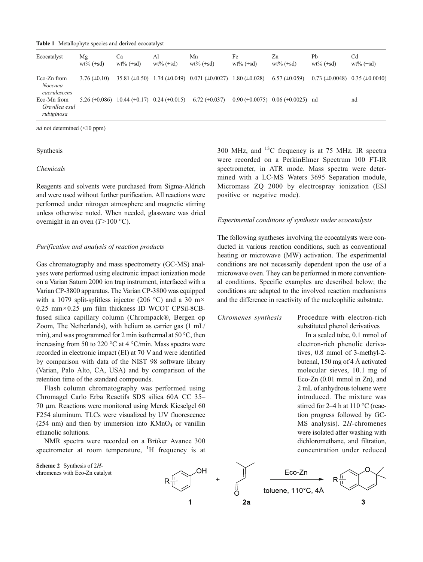Table 1 Metallophyte species and derived ecocatalyst

| Ecocatalyst                                 | Mg<br>$wt\%$ ( $\pm sd$ ) | Сa<br>$wt\%$ ( $\pm sd$ ) | Al<br>$wt\%$ ( $\pm sd$ )                     | Mn<br>$wt\%$ ( $\pm sd$ )                                                     | Fe<br>$wt\%$ ( $\pm sd$ ) | Zn<br>$wt\%$ ( $\pm sd$ )                                       | Ph<br>$wt\%$ ( $\pm sd$ )                       | Cd<br>$wt\%$ ( $\pm sd$ ) |
|---------------------------------------------|---------------------------|---------------------------|-----------------------------------------------|-------------------------------------------------------------------------------|---------------------------|-----------------------------------------------------------------|-------------------------------------------------|---------------------------|
| Eco-Zn from<br>Noccaea<br>caerulescens      | $3.76 \ (\pm 0.10)$       |                           |                                               | 35.81 $(\pm 0.50)$ 1.74 $(\pm 0.049)$ 0.071 $(\pm 0.0027)$ 1.80 $(\pm 0.028)$ |                           | $6.57 \ (\pm 0.059)$                                            | $0.73 \ (\pm 0.0048) \quad 0.35 \ (\pm 0.0040)$ |                           |
| Eco-Mn from<br>Grevillea exul<br>rubiginosa | $5.26 (\pm 0.086)$        |                           | $10.44 \ (\pm 0.17) \quad 0.24 \ (\pm 0.015)$ | $6.72 \ (\pm 0.037)$                                                          |                           | $0.90 \ (\pm 0.0075) \quad 0.06 \ (\pm 0.0025) \quad \text{nd}$ |                                                 | nd                        |

nd not determined (<10 ppm)

### Synthesis

### Chemicals

Reagents and solvents were purchased from Sigma-Aldrich and were used without further purification. All reactions were performed under nitrogen atmosphere and magnetic stirring unless otherwise noted. When needed, glassware was dried overnight in an oven  $(T>100 \degree C)$ .

#### Purification and analysis of reaction products

Gas chromatography and mass spectrometry (GC-MS) analyses were performed using electronic impact ionization mode on a Varian Saturn 2000 ion trap instrument, interfaced with a Varian CP-3800 apparatus. The Varian CP-3800 was equipped with a 1079 split-splitless injector (206 °C) and a 30 m $\times$ 0.25 mm×0.25 μm film thickness ID WCOT CPSil-8CBfused silica capillary column (Chrompack®, Bergen op Zoom, The Netherlands), with helium as carrier gas (1 mL/ min), and was programmed for 2 min isothermal at 50 °C, then increasing from 50 to 220 °C at 4 °C/min. Mass spectra were recorded in electronic impact (EI) at 70 V and were identified by comparison with data of the NIST 98 software library (Varian, Palo Alto, CA, USA) and by comparison of the retention time of the standard compounds.

Flash column chromatography was performed using Chromagel Carlo Erba Reactifs SDS silica 60A CC 35– 70 μm. Reactions were monitored using Merck Kieselgel 60 F254 aluminum. TLCs were visualized by UV fluorescence (254 nm) and then by immersion into  $KMnO<sub>4</sub>$  or vanillin ethanolic solutions.

NMR spectra were recorded on a Brüker Avance 300 spectrometer at room temperature,  $H$  frequency is at





300 MHz, and  $^{13}$ C frequency is at 75 MHz. IR spectra were recorded on a PerkinElmer Spectrum 100 FT-IR spectrometer, in ATR mode. Mass spectra were determined with a LC-MS Waters 3695 Separation module, Micromass ZQ 2000 by electrospray ionization (ESI positive or negative mode).

### Experimental conditions of synthesis under ecocatalysis

The following syntheses involving the ecocatalysts were conducted in various reaction conditions, such as conventional heating or microwave (MW) activation. The experimental conditions are not necessarily dependent upon the use of a microwave oven. They can be performed in more conventional conditions. Specific examples are described below; the conditions are adapted to the involved reaction mechanisms and the difference in reactivity of the nucleophilic substrate.

Chromenes synthesis – Procedure with electron-rich substituted phenol derivatives

> In a sealed tube, 0.1 mmol of electron-rich phenolic derivatives, 0.8 mmol of 3-methyl-2 butenal, 150 mg of 4 Å activated molecular sieves, 10.1 mg of Eco-Zn (0.01 mmol in Zn), and 2 mL of anhydrous toluene were introduced. The mixture was stirred for 2–4 h at 110 °C (reaction progress followed by GC-MS analysis). 2H-chromenes were isolated after washing with dichloromethane, and filtration, concentration under reduced

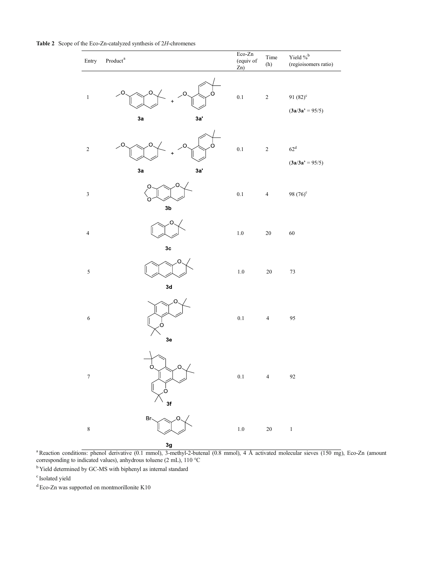| Entry                    | т.<br>$\mathbf{Product}^{\mathrm{a}}$ | $Eco-Zn$<br>(equiv of<br>Zn) | Time<br>(h)    | Yield $\%^b$<br>(regioisomers ratio) |
|--------------------------|---------------------------------------|------------------------------|----------------|--------------------------------------|
| $\,1\,$                  | O<br>O<br>O<br>c<br>3a<br>3a'         | $0.1\,$                      | $\,2$          | 91 $(82)^{c}$<br>$(3a/3a' = 95/5)$   |
| $\sqrt{2}$               | O<br>O<br>O<br>3a'<br>3a              | 0.1                          | $\sqrt{2}$     | $62^{\rm d}$<br>$(3a/3a' = 95/5)$    |
| $\sqrt{3}$               | O<br>O<br>3 <sub>b</sub>              | $0.1\,$                      | $\overline{4}$ | 98 $(76)^c$                          |
| $\overline{\mathcal{L}}$ | O<br>3 <sub>c</sub>                   | $1.0\,$                      | $20\,$         | 60                                   |
| $\sqrt{5}$               | O<br>3d                               | $1.0\,$                      | $20\,$         | $73\,$                               |
| $\sqrt{6}$               | O<br>Γ.<br>3e                         | $0.1\,$                      | $\sqrt{4}$     | 95                                   |
| $\boldsymbol{7}$         | $\sim$ $\prime$<br>3f                 | $0.1\,$                      | $\overline{4}$ | $92\,$                               |
| $\,$ 8 $\,$              | Br-<br>O<br>3g                        | $1.0\,$                      | $20\,$         | $\,1$                                |

Table 2 Scope of the Eco-Zn-catalyzed synthesis of 2H-chromenes

<sup>a</sup> Reaction conditions: phenol derivative (0.1 mmol), 3-methyl-2-butenal (0.8 mmol), 4 Å activated molecular sieves (150 mg), Eco-Zn (amount corresponding to indicated values), anhydrous toluene (2 mL), 110 °C

<sup>b</sup> Yield determined by GC-MS with biphenyl as internal standard

<sup>d</sup> Eco-Zn was supported on montmorillonite K10

c Isolated yield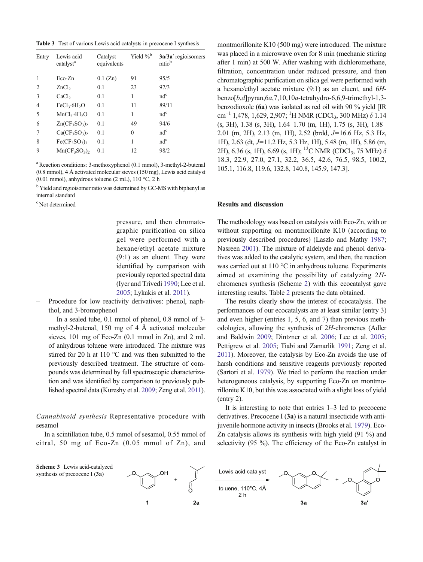Table 3 Test of various Lewis acid catalysts in precocene I synthesis

| Entry       | Lewis acid<br>catalyst <sup>a</sup>  | Catalyst<br>equivalents | Yield % <sup>b</sup> | 3a/3a' regioisomers<br>ratio <sup>b</sup> |
|-------------|--------------------------------------|-------------------------|----------------------|-------------------------------------------|
| 1           | Eco-Zn                               | $0.1$ (Zn)              | 91                   | 95/5                                      |
| 2           | ZnCl <sub>2</sub>                    | 0.1                     | 23                   | 97/3                                      |
| 3           | CaCl <sub>2</sub>                    | 0.1                     | 1                    | $nd^c$                                    |
| 4           | FeCl <sub>3</sub> ·6H <sub>2</sub> O | 0.1                     | 11                   | 89/11                                     |
| 5           | MnCl <sub>2</sub> ·4H <sub>2</sub> O | 0.1                     | 1                    | $nd^c$                                    |
| 6           | $Zn(CF_3SO_3)$                       | 0.1                     | 49                   | 94/6                                      |
| 7           | $Ca(CF_3SO_3)$                       | 0.1                     | $\theta$             | $nd^c$                                    |
| 8           | $Fe(CF_3SO_3)$                       | 0.1                     | 1                    | $nd^c$                                    |
| $\mathbf Q$ | $Mn(CF_3SO_3)_2$                     | 0.1                     | 12                   | 98/2                                      |

<sup>a</sup> Reaction conditions: 3-methoxyphenol (0.1 mmol), 3-methyl-2-butenal (0.8 mmol), 4 Å activated molecular sieves (150 mg), Lewis acid catalyst (0.01 mmol), anhydrous toluene (2 mL),  $110^{\circ}$ C, 2 h

<sup>b</sup> Yield and regioisomer ratio was determined by GC-MS with biphenyl as internal standard

pressure, and then chromatographic purification on silica gel were performed with a hexane/ethyl acetate mixture (9:1) as an eluent. They were identified by comparison with previously reported spectral data (Iyer and Trivedi 1990; Lee et al. 2005; Lykakis et al. 2011).

– Procedure for low reactivity derivatives: phenol, naphthol, and 3-bromophenol

In a sealed tube, 0.1 mmol of phenol, 0.8 mmol of 3 methyl-2-butenal, 150 mg of 4 Å activated molecular sieves, 101 mg of Eco-Zn (0.1 mmol in Zn), and 2 mL of anhydrous toluene were introduced. The mixture was stirred for 20 h at 110 °C and was then submitted to the previously described treatment. The structure of compounds was determined by full spectroscopic characterization and was identified by comparison to previously published spectral data (Kureshy et al. 2009; Zeng et al. 2011).

Cannabinoid synthesis Representative procedure with sesamol

In a scintillation tube, 0.5 mmol of sesamol, 0.55 mmol of citral, 50 mg of Eco-Zn (0.05 mmol of Zn), and

montmorillonite K10 (500 mg) were introduced. The mixture was placed in a microwave oven for 8 min (mechanic stirring after 1 min) at 500 W. After washing with dichloromethane, filtration, concentration under reduced pressure, and then chromatographic purification on silica gel were performed with a hexane/ethyl acetate mixture (9:1) as an eluent, and 6Hbenzo[b,d]pyran,6a,7,10,10a-tetrahydro-6,6,9-trimethyl-1,3 benzodioxole (6a) was isolated as red oil with 90 % yield [IR cm<sup>-1</sup> 1,478, 1,629, 2,907; <sup>1</sup>H NMR (CDCl<sub>3</sub>, 300 MHz) δ 1.14 (s, 3H), 1.38 (s, 3H), 1.64–1.70 (m, 1H), 1.75 (s, 3H), 1.88– 2.01 (m, 2H), 2.13 (m, 1H), 2.52 (brdd, J=16.6 Hz, 5.3 Hz, 1H), 2.63 (dt, J=11.2 Hz, 5.3 Hz, 1H), 5.48 (m, 1H), 5.86 (m, 2H), 6.36 (s, 1H), 6.69 (s, 1H); <sup>13</sup>C NMR (CDCl<sub>3</sub>, 75 MHz)  $\delta$ 18.3, 22.9, 27.0, 27.1, 32.2, 36.5, 42.6, 76.5, 98.5, 100.2, 105.1, 116.8, 119.6, 132.8, 140.8, 145.9, 147.3].

## Results and discussion

The methodology was based on catalysis with Eco-Zn, with or without supporting on montmorillonite K10 (according to previously described procedures) (Laszlo and Mathy 1987; Nasreen 2001). The mixture of aldehyde and phenol derivatives was added to the catalytic system, and then, the reaction was carried out at 110 °C in anhydrous toluene. Experiments aimed at examining the possibility of catalyzing 2Hchromenes synthesis (Scheme 2) with this ecocatalyst gave interesting results. Table 2 presents the data obtained.

The results clearly show the interest of ecocatalysis. The performances of our ecocatalysts are at least similar (entry 3) and even higher (entries 1, 5, 6, and 7) than previous methodologies, allowing the synthesis of 2H-chromenes (Adler and Baldwin 2009; Dintzner et al. 2006; Lee et al. 2005; Pettigrew et al. 2005; Tiabi and Zamarlik 1991; Zeng et al. 2011). Moreover, the catalysis by Eco-Zn avoids the use of harsh conditions and sensitive reagents previously reported (Sartori et al. 1979). We tried to perform the reaction under heterogeneous catalysis, by supporting Eco-Zn on montmorillonite K10, but this was associated with a slight loss of yield (entry 2).

It is interesting to note that entries 1–3 led to precocene derivatives. Precocene I (3a) is a natural insecticide with antijuvenile hormone activity in insects (Brooks et al. 1979). Eco-Zn catalysis allows its synthesis with high yield (91 %) and selectivity (95 %). The efficiency of the Eco-Zn catalyst in



c Not determined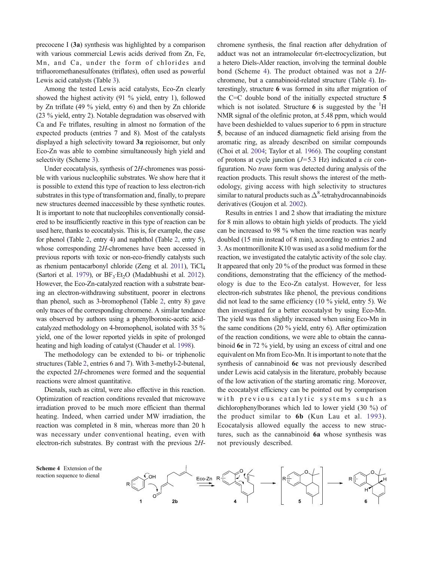precocene I (3a) synthesis was highlighted by a comparison with various commercial Lewis acids derived from Zn, Fe, Mn, and Ca, under the form of chlorides and trifluoromethanesulfonates (triflates), often used as powerful Lewis acid catalysts (Table 3).

Among the tested Lewis acid catalysts, Eco-Zn clearly showed the highest activity (91 % yield, entry 1), followed by Zn triflate (49 % yield, entry 6) and then by Zn chloride (23 % yield, entry 2). Notable degradation was observed with Ca and Fe triflates, resulting in almost no formation of the expected products (entries 7 and 8). Most of the catalysts displayed a high selectivity toward 3a regioisomer, but only Eco-Zn was able to combine simultaneously high yield and selectivity (Scheme 3).

Under ecocatalysis, synthesis of 2H-chromenes was possible with various nucleophilic substrates. We show here that it is possible to extend this type of reaction to less electron-rich substrates in this type of transformation and, finally, to prepare new structures deemed inaccessible by these synthetic routes. It is important to note that nucleophiles conventionally considered to be insufficiently reactive in this type of reaction can be used here, thanks to ecocatalysis. This is, for example, the case for phenol (Table 2, entry 4) and naphthol (Table 2, entry 5), whose corresponding 2H-chromenes have been accessed in previous reports with toxic or non-eco-friendly catalysts such as rhenium pentacarbonyl chloride (Zeng et al. 2011), TiCl4 (Sartori et al. 1979), or  $BF_3E_5O$  (Madabhushi et al. 2012). However, the Eco-Zn-catalyzed reaction with a substrate bearing an electron-withdrawing substituent, poorer in electrons than phenol, such as 3-bromophenol (Table 2, entry 8) gave only traces of the corresponding chromene. A similar tendance was observed by authors using a phenylboronic-acetic acidcatalyzed methodology on 4-bromophenol, isolated with 35 % yield, one of the lower reported yields in spite of prolonged heating and high loading of catalyst (Chauder et al. 1998).

The methodology can be extended to bi- or triphenolic structures (Table 2, entries 6 and 7). With 3-methyl-2-butenal, the expected 2H-chromenes were formed and the sequential reactions were almost quantitative.

Dienals, such as citral, were also effective in this reaction. Optimization of reaction conditions revealed that microwave irradiation proved to be much more efficient than thermal heating. Indeed, when carried under MW irradiation, the reaction was completed in 8 min, whereas more than 20 h was necessary under conventional heating, even with electron-rich substrates. By contrast with the previous 2H- chromene synthesis, the final reaction after dehydration of adduct was not an intramolecular 6π-electrocyclization, but a hetero Diels-Alder reaction, involving the terminal double bond (Scheme 4). The product obtained was not a 2Hchromene, but a cannabinoid-related structure (Table 4). Interestingly, structure 6 was formed in situ after migration of the C=C double bond of the initially expected structure 5 which is not isolated. Structure  $6$  is suggested by the  ${}^{1}$ H NMR signal of the olefinic proton, at 5.48 ppm, which would have been deshielded to values superior to 6 ppm in structure 5, because of an induced diamagnetic field arising from the aromatic ring, as already described on similar compounds (Choi et al. 2004; Taylor et al. 1966). The coupling constant of protons at cycle junction  $(J=5.3 \text{ Hz})$  indicated a *cis* configuration. No trans form was detected during analysis of the reaction products. This result shows the interest of the methodology, giving access with high selectivity to structures similar to natural products such as  $\Delta^8$ -tetrahydrocannabinoids derivatives (Goujon et al. 2002).

Results in entries 1 and 2 show that irradiating the mixture for 8 min allows to obtain high yields of products. The yield can be increased to 98 % when the time reaction was nearly doubled (15 min instead of 8 min), according to entries 2 and 3. As montmorillonite K10 was used as a solid medium for the reaction, we investigated the catalytic activity of the sole clay. It appeared that only 20 % of the product was formed in these conditions, demonstrating that the efficiency of the methodology is due to the Eco-Zn catalyst. However, for less electron-rich substrates like phenol, the previous conditions did not lead to the same efficiency (10 % yield, entry 5). We then investigated for a better ecocatalyst by using Eco-Mn. The yield was then slightly increased when using Eco-Mn in the same conditions (20 % yield, entry 6). After optimization of the reaction conditions, we were able to obtain the cannabinoid 6c in 72 % yield, by using an excess of citral and one equivalent on Mn from Eco-Mn. It is important to note that the synthesis of cannabinoid 6c was not previously described under Lewis acid catalysis in the literature, probably because of the low activation of the starting aromatic ring. Moreover, the ecocatalyst efficiency can be pointed out by comparison with previous catalytic systems such as dichlorophenylboranes which led to lower yield (30 %) of the product similar to 6b (Kun Lau et al. 1993). Ecocatalysis allowed equally the access to new structures, such as the cannabinoid 6a whose synthesis was not previously described.

Scheme 4 Extension of the reaction sequence to dienal

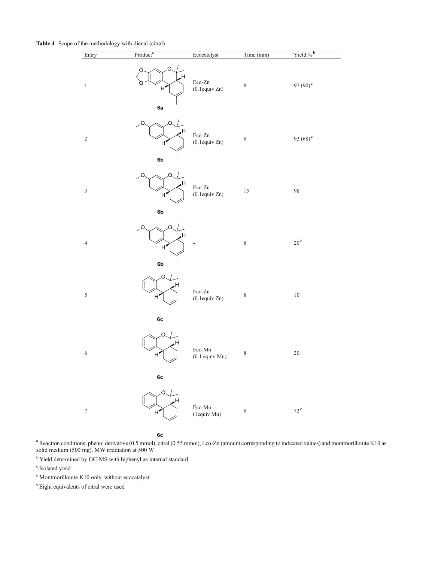Table 4 Scope of the methodology with dienal (citral)

| Entry            | Product <sup>a</sup>                                 | Ecocatalyst                                                                                                                                                                                                                                                                                                                                                                                                                                                                          | Time (min) | Yield % <sup>b</sup> |
|------------------|------------------------------------------------------|--------------------------------------------------------------------------------------------------------------------------------------------------------------------------------------------------------------------------------------------------------------------------------------------------------------------------------------------------------------------------------------------------------------------------------------------------------------------------------------|------------|----------------------|
| $\,1\,$          | O<br>O<br>$H^{\bullet}$<br>6a                        | $\operatorname{Eco-Zn}$<br>$(0.1$ equiv Zn $)$                                                                                                                                                                                                                                                                                                                                                                                                                                       | $\,8\,$    | 97 (90) <sup>c</sup> |
| $\sqrt{2}$       | Ω<br>$H^{\bullet}$<br>6b                             | Eco-Zn<br>$(0.1$ equiv Zn $)$                                                                                                                                                                                                                                                                                                                                                                                                                                                        | $\,8\,$    | 92 $(68)^c$          |
| $\sqrt{3}$       | C<br>$H^{\bullet}$<br>6b                             | $\operatorname{Eco-Zn}$<br>$(0.1$ equiv Zn $)$                                                                                                                                                                                                                                                                                                                                                                                                                                       | $15\,$     | 98                   |
| $\overline{4}$   | C<br>Η<br>$H^{\bullet}$<br>6b                        |                                                                                                                                                                                                                                                                                                                                                                                                                                                                                      | $\,8\,$    | $20^{\rm \, d}$      |
| 5                | Ω<br>H,<br>$H^{\bullet}$<br>6c                       | $\operatorname{Eco-Zn}$<br>$(0.1$ equiv Zn $)$                                                                                                                                                                                                                                                                                                                                                                                                                                       | $\,$ $\,$  | $10\,$               |
| 6                | O<br>н<br>$H^{\bullet}$<br>6c                        | $\operatorname*{Eco-Mn}% \nolimits_{\mathbb{Z}}\nolimits_{\mathbb{Z}}\nolimits_{\mathbb{Z}}\nolimits_{\mathbb{Z}}\nolimits_{\mathbb{Z}}\nolimits_{\mathbb{Z}}\nolimits_{\mathbb{Z}}\nolimits_{\mathbb{Z}}\nolimits_{\mathbb{Z}}\nolimits_{\mathbb{Z}}\nolimits_{\mathbb{Z}}\nolimits_{\mathbb{Z}}\nolimits_{\mathbb{Z}}\nolimits_{\mathbb{Z}}\nolimits_{\mathbb{Z}}\nolimits_{\mathbb{Z}}\nolimits_{\mathbb{Z}}\nolimits_{\mathbb{Z}}\nolimits_{\mathbb{Z}}\$<br>$(0.1$ equiv Mn $)$ | $\,$ $\,$  | $20\,$               |
| $\boldsymbol{7}$ | Ō.<br>н<br>$H^{\blacktriangledown}$<br>$6\mathrm{c}$ | $\operatorname*{Eco-Mn}% \nolimits_{\mathbb{Z}}\nolimits_{\mathbb{Z}}\nolimits_{\mathbb{Z}}\nolimits_{\mathbb{Z}}\nolimits_{\mathbb{Z}}\nolimits_{\mathbb{Z}}\nolimits_{\mathbb{Z}}\nolimits_{\mathbb{Z}}\nolimits_{\mathbb{Z}}\nolimits_{\mathbb{Z}}\nolimits_{\mathbb{Z}}\nolimits_{\mathbb{Z}}\nolimits_{\mathbb{Z}}\nolimits_{\mathbb{Z}}\nolimits_{\mathbb{Z}}\nolimits_{\mathbb{Z}}\nolimits_{\mathbb{Z}}\nolimits_{\mathbb{Z}}\nolimits_{\mathbb{Z}}\$<br>(1equiv Mn)         | $\,$ $\,$  | $72^{\rm e}$         |

<sup>a</sup> Reaction conditions: phenol derivative (0.5 mmol), citral (0.55 mmol), Eco-Zn (amount corresponding to indicated values) and montmorillonite K10 as solid medium (500 mg), MW irradiation at 500 W

<sup>b</sup> Yield determined by GC-MS with biphenyl as internal standard

<sup>d</sup> Montmorillonite K10 only, without ecocatalyst

e Eight equivalents of citral were used

c Isolated yield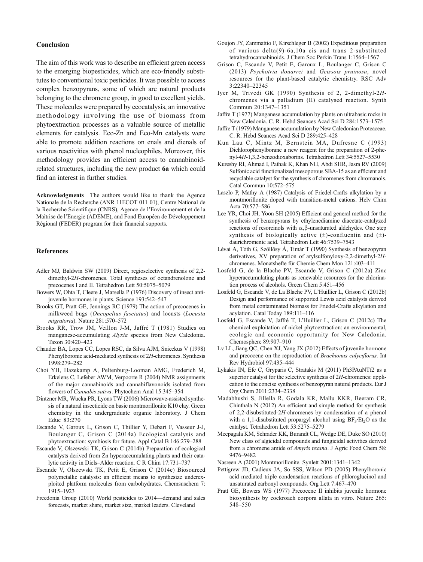#### Conclusion

The aim of this work was to describe an efficient green access to the emerging biopesticides, which are eco-friendly substitutes to conventional toxic pesticides. It was possible to access complex benzopyrans, some of which are natural products belonging to the chromene group, in good to excellent yields. These molecules were prepared by ecocatalysis, an innovative methodology involving the use of biomass from phytoextraction processes as a valuable source of metallic elements for catalysis. Eco-Zn and Eco-Mn catalysts were able to promote addition reactions on enals and dienals of various reactivities with phenol nucleophiles. Moreover, this methodology provides an efficient access to cannabinoidrelated structures, including the new product 6a which could find an interest in further studies.

Acknowledgments The authors would like to thank the Agence Nationale de la Recherche (ANR 11ECOT 011 01), Centre National de la Recherche Scientifique (CNRS), Agence de l'Environnement et de la Maîtrise de l'Energie (ADEME), and Fond Européen de Développement Régional (FEDER) program for their financial supports.

### References

- Adler MJ, Baldwin SW (2009) Direct, regioselective synthesis of 2,2 dimethyl-2H-chromenes. Total syntheses of octandrenolone and precocenes I and II. Tetrahedron Lett 50:5075–5079
- Bowers W, Ohta T, Cleere J, Marsella P (1976) Discovery of insect antijuvenile hormones in plants. Science 193:542–547
- Brooks GT, Pratt GE, Jennings RC (1979) The action of precocenes in milkweed bugs (Oncopeltus fasciatus) and locusts (Locusta migratoria). Nature 281:570–572
- Brooks RR, Trow JM, Veillon J-M, Jaffré T (1981) Studies on manganese-accumulating Alyxia species from New Caledonia. Taxon 30:420–423
- Chauder BA, Lopes CC, Lopes RSC, da Silva AJM, Snieckus V (1998) Phenylboronic acid-mediated synthesis of 2H-chromenes. Synthesis 1998:279–282
- Choi YH, Hazekamp A, Peltenburg-Looman AMG, Frederich M, Erkelens C, Lefeber AWM, Verpoorte R (2004) NMR assignments of the major cannabinoids and cannabiflavonoids isolated from flowers of Cannabis sativa. Phytochem Anal 15:345–354
- Dintzner MR, Wucka PR, Lyons TW (2006) Microwave-assisted synthesis of a natural insecticide on basic montmorillonite K10 clay. Green chemistry in the undergraduate organic laboratory. J Chem Educ 83:270
- Escande V, Garoux L, Grison C, Thillier Y, Debart F, Vasseur J-J, Boulanger C, Grison C (2014a) Ecological catalysis and phytoextraction: symbiosis for future. Appl Catal B 146:279–288
- Escande V, Olszewski TK, Grison C (2014b) Preparation of ecological catalysts derived from Zn hyperaccumulating plants and their catalytic activity in Diels–Alder reaction. C R Chim 17:731–737
- Escande V, Olszewski TK, Petit E, Grison C (2014c) Biosourced polymetallic catalysts: an efficient means to synthesize underexploited platform molecules from carbohydrates. Chemsuschem 7: 1915–1923
- Freedonia Group (2010) World pesticides to 2014—demand and sales forecasts, market share, market size, market leaders. Cleveland
- Goujon JY, Zammattio F, Kirschleger B (2002) Expeditious preparation of various delta(9)-6a,10a cis and trans 2-substituted tetrahydrocannabinoids. J Chem Soc Perkin Trans 1:1564–1567
- Grison C, Escande V, Petit E, Garoux L, Boulanger C, Grison C (2013) Psychotria douarrei and Geissois pruinosa, novel resources for the plant-based catalytic chemistry. RSC Adv 3:22340–22345
- Iyer M, Trivedi GK (1990) Synthesis of 2, 2-dimethyl-2Hchromenes via a palladium (II) catalysed reaction. Synth Commun 20:1347–1351
- Jaffre T (1977) Manganese accumulation by plants on ultrabasic rocks in New Caledonia. C. R. Hebd Seances Acad Sci D 284:1573–1575
- Jaffre T (1979) Manganese accumulation by New Caledonian Proteaceae. C. R. Hebd Seances Acad Sci D 289:425–428
- Kun Lau C, Mintz M, Bernstein MA, Dufresne C (1993) Dichlorophenylborane a new reagent for the preparation of 2-phenyl-4H-1,3,2-benzodioxaborins. Tetrahedron Lett 34:5527–5530
- Kureshy RI, Ahmad I, Pathak K, Khan NH, Abdi SHR, Jasra RV (2009) Sulfonic acid functionalized mesoporous SBA-15 as an efficient and recyclable catalyst for the synthesis of chromenes from chromanols. Catal Commun 10:572–575
- Laszlo P, Mathy A (1987) Catalysis of Friedel-Crafts alkylation by a montmorillonite doped with transition-metal cations. Helv Chim Acta 70:577–586
- Lee YR, Choi JH, Yoon SH (2005) Efficient and general method for the synthesis of benzopyrans by ethylenediamine diacetate-catalyzed reactions of resorcinols with α,β-unsaturated aldehydes. One step synthesis of biologically active  $(\pm)$ -confluentin and  $(\pm)$ daurichromenic acid. Tetrahedron Lett 46:7539–7543
- Lévai A, Tóth G, Szőllősy Á, Timár T (1990) Synthesis of benzopyran derivatives, XV preparation of arylsulfonyloxy-2,2-dimethyl-2Hchromenes. Monatshefte für Chemie Chem Mon 121:403–411
- Losfeld G, de la Blache PV, Escande V, Grison C (2012a) Zinc hyperaccumulating plants as renewable resources for the chlorination process of alcohols. Green Chem 5:451–456
- Losfeld G, Escande V, de La Blache PV, L'Huillier L, Grison C (2012b) Design and performance of supported Lewis acid catalysts derived from metal contaminated biomass for Friedel-Crafts alkylation and acylation. Catal Today 189:111–116
- Losfeld G, Escande V, Jaffré T, L'Huillier L, Grison C (2012c) The chemical exploitation of nickel phytoextraction: an environmental, ecologic and economic opportunity for New Caledonia. Chemosphere 89:907–910
- Lv LL, Jiang QC, Chen XJ, Yang JX (2012) Effects of juvenile hormone and precocene on the reproduction of Brachionus calyciflorus. Int Rev Hydrobiol 97:435–444
- Lykakis IN, Efe C, Gryparis C, Stratakis M (2011) Ph3PAuNTf2 as a superior catalyst for the selective synthesis of 2H-chromenes: application to the concise synthesis of benzopyran natural products. Eur J Org Chem 2011:2334–2338
- Madabhushi S, Jillella R, Godala KR, Mallu KKR, Beeram CR, Chinthala N (2012) An efficient and simple method for synthesis of 2,2-disubstituted-2H-chromenes by condensation of a phenol with a 1,1-disubstituted propargyl alcohol using  $BF_3E_2O$  as the catalyst. Tetrahedron Lett 53:5275–5279
- Meepagala KM, Schrader KK, Burandt CL, Wedge DE, Duke SO (2010) New class of algicidal compounds and fungicidal activities derived from a chromene amide of Amyris texana. J Agric Food Chem 58: 9476–9482
- Nasreen A (2001) Montmorillonite. Synlett 2001:1341–1342
- Pettigrew JD, Cadieux JA, So SSS, Wilson PD (2005) Phenylboronic acid mediated triple condensation reactions of phloroglucinol and unsaturated carbonyl compounds. Org Lett 7:467–470
- Pratt GE, Bowers WS (1977) Precocene II inhibits juvenile hormone biosynthesis by cockroach corpora allata in vitro. Nature 265: 548–550